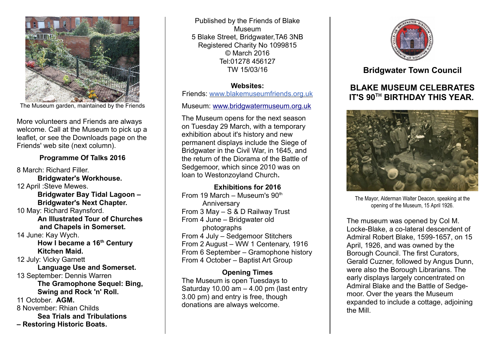

The Museum garden, maintained by the Friends

More volunteers and Friends are always welcome. Call at the Museum to pick up a leaflet, or see the Downloads page on the Friends' web site (next column).

### **Programme Of Talks 2016**

8 March: Richard Filler. **Bridgwater's Workhouse.** 12 April :Steve Mewes. **Bridgwater Bay Tidal Lagoon – Bridgwater's Next Chapter.** 10 May: Richard Raynsford. **An Illustrated Tour of Churches and Chapels in Somerset.** 14 June: Kay Wych. **How I became a 16th Century Kitchen Maid.** 12 July: Vicky Garnett **Language Use and Somerset.** 13 September: Dennis Warren **The Gramophone Sequel: Bing, Swing and Rock 'n' Roll.** 11 October. **AGM.** 8 November: Rhian Childs **Sea Trials and Tribulations – Restoring Historic Boats.**

Published by the Friends of Blake Museum 5 Blake Street, Bridgwater,TA6 3NB Registered Charity No 1099815 © March 2016 Tel:01278 456127 TW 15/03/16

#### **Websites:**

Friends: www.blakemuseumfriends.org.uk

#### Museum: [www.bridgwatermuseum.org.uk](http://www.bridgwatermuseum.org.uk/)

The Museum opens for the next season on Tuesday 29 March, with a temporary exhibition about it's history and new permanent displays include the Siege of Bridgwater in the Civil War, in 1645, and the return of the Diorama of the Battle of Sedgemoor, which since 2010 was on loan to Westonzoyland Church**.**

**Exhibitions for 2016** From 19 March – Museum's  $90<sup>th</sup>$ Anniversary From 3 May – S & D Railway Trust From 4 June – Bridgwater old photographs From 4 July – Sedgemoor Stitchers From 2 August – WW 1 Centenary, 1916 From 6 September – Gramophone history From 4 October – Baptist Art Group

## **Opening Times**

The Museum is open Tuesdays to Saturday 10.00 am – 4.00 pm (last entry 3.00 pm) and entry is free, though donations are always welcome.



## **Bridgwater Town Council**

# **BLAKE MUSEUM CELEBRATES IT'S 90TH BIRTHDAY THIS YEAR.**



The Mayor, Alderman Walter Deacon, speaking at the opening of the Museum, 15 April 1926.

The museum was opened by Col M. Locke-Blake, a co-lateral descendent of Admiral Robert Blake, 1599-1657, on 15 April, 1926, and was owned by the Borough Council. The first Curators, Gerald Cuzner, followed by Angus Dunn, were also the Borough Librarians. The early displays largely concentrated on Admiral Blake and the Battle of Sedgemoor. Over the years the Museum expanded to include a cottage, adjoining the Mill.